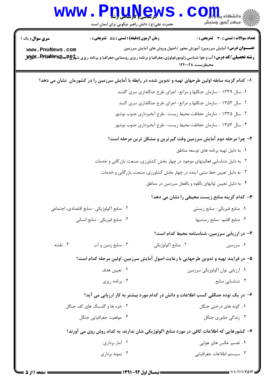|                                                                                                                                                                                       | <b>www.PDTMGM</b><br>حضرت علی(ع): دانش راهبر نیکویی برای ایمان است                                     |                                                                                | دانشگاه پ <b>یا ب<sup>ا</sup> تا<mark>ر</mark></b><br>رآ مرکز آزمون وسنجش                                           |  |
|---------------------------------------------------------------------------------------------------------------------------------------------------------------------------------------|--------------------------------------------------------------------------------------------------------|--------------------------------------------------------------------------------|---------------------------------------------------------------------------------------------------------------------|--|
| سری سوال: یک ۱<br>www.PnuNews.com<br><b>رشته تحصیلی/کد درس: آب و هوا شناسی،ژئومورفولوژی،جغرافیا و برنامه ریزی روستایی،جغرافیا و برنامه ریزی ش<del>پلوچهجهههای بهیهی پر</del>ی تاب</b> | <b>زمان آزمون (دقیقه) : تستی : 55 تشریحی : 0</b>                                                       | محيطزيست ١٢٤٠٠٢٨                                                               | تعداد سوالات : تستي : 30 ٪ تشريحي : 0<br><b>عنـــوان درس:</b> آمایش سرزمین( آموزش محور )،اصول وروش های آمایش سرزمین |  |
|                                                                                                                                                                                       | ۱– کدام گزینه سابقه اولین طرحهای تهیه و تدوین شده در رابطه با آمایش سرزمین را در کشورمان  نشان می دهد؟ |                                                                                |                                                                                                                     |  |
|                                                                                                                                                                                       |                                                                                                        | ۰۱ سال ۱۳۳۹ - سازمان جنگلها و مراتع- اجرای طرح جنگلداری سری گلبند              |                                                                                                                     |  |
|                                                                                                                                                                                       |                                                                                                        | ۰۲ سال ۱۳۵۳ - سازمان جنگلها و مراتع- اجرای طرح جنگلداری سری گنبد               |                                                                                                                     |  |
|                                                                                                                                                                                       | ۰۳ سال ۱۳۳۵ - سازمان حفاظت محیط زیست- طرح آبخیزداری جنوب نوشهر                                         |                                                                                |                                                                                                                     |  |
|                                                                                                                                                                                       |                                                                                                        | ۰۴ سال ۱۳۵۳ - سازمان حفاظت محیط زیست- طرح آبخیزداری جنوب نوشهر                 |                                                                                                                     |  |
|                                                                                                                                                                                       |                                                                                                        |                                                                                | ۲- چرا مرحله دوم آمایش سرزمین وقت گیرترین و مشکل ترین مرحله است؟                                                    |  |
|                                                                                                                                                                                       |                                                                                                        |                                                                                | ٠١ به دليل تهيه برنامه هاى توسعه مناطق                                                                              |  |
|                                                                                                                                                                                       |                                                                                                        | ۰۲ به دلیل شناسایی فعالیتهای موجود در چهار بخش کشاورزی، صنعت، بازرگانی و خدمات |                                                                                                                     |  |
|                                                                                                                                                                                       |                                                                                                        | ۰۳ به دلیل تعیین خط مشی آینده در چهار بخش کشاورزی، صنعت، بازرگانی و خدمات      |                                                                                                                     |  |
|                                                                                                                                                                                       |                                                                                                        |                                                                                | ۰۴ به دلیل تعیین توانهای بالقوه و بالفعل سرزمین در مناطق                                                            |  |
|                                                                                                                                                                                       |                                                                                                        |                                                                                | ۳- کدام گزینه منابع زیست محیطی را نشان می دهد؟                                                                      |  |
|                                                                                                                                                                                       | ۰۲ منابع اکولوژیکی- منابع اقتصادی، اجتماعی                                                             |                                                                                | ۰۱ منابع فیزیکی-منابع زیستی                                                                                         |  |
|                                                                                                                                                                                       | ۰۴ منابع فيزيكي- منابع انساني                                                                          |                                                                                | ٠٣ منابع اقليم-منابع رستنيها                                                                                        |  |
|                                                                                                                                                                                       |                                                                                                        |                                                                                | ۴- در ارزیابی سرزمین، شناسنامه محیط کدام است؟                                                                       |  |
| ۰۴ نقشه                                                                                                                                                                               | ۰۳ منابع زمین و آب                                                                                     | ۰۲ منابع اکولوژیکی                                                             | ۰۱ سرزمین                                                                                                           |  |
|                                                                                                                                                                                       | ۵– در فرایند تهیه و تدوین طرحهایی با رعایت اصول آمایش سرزمین، اولین مرحله کدام است؟                    |                                                                                |                                                                                                                     |  |
|                                                                                                                                                                                       | ۰۲ تعیین هدف                                                                                           |                                                                                | ۰۱ ارزیابی توان اکولوژیکی سرزمین                                                                                    |  |
|                                                                                                                                                                                       | ۰۴ برنامه ریزی                                                                                         |                                                                                | ۰۳ شناسایی منابع                                                                                                    |  |
|                                                                                                                                                                                       | ۶– در یک توده جنگلی کسب اطلاعات و دانش در کدام مورد بیشتر به کار ارزیابی می آید؟                       |                                                                                |                                                                                                                     |  |
|                                                                                                                                                                                       | ۰۲ خزه ها و گلسنگ های کف جنگل                                                                          |                                                                                | ۰۱ گونه های درختی جنگل                                                                                              |  |
|                                                                                                                                                                                       | ۰۴ موقعیت جغرافیایی جنگل                                                                               |                                                                                | ۰۳ زندگی جانوری جنگل                                                                                                |  |
|                                                                                                                                                                                       | ۷– کشورهایی که اطلاعات کافی در مورد منابع اکولوژیکی شان ندارند، به کدام روش روی می آورند؟              |                                                                                |                                                                                                                     |  |
|                                                                                                                                                                                       | ۰۲ آمار برداری                                                                                         |                                                                                | ۰۱ تفسیر عکس های هوایی                                                                                              |  |
|                                                                                                                                                                                       | ۰۴ نمونه برداری                                                                                        |                                                                                | ٠٣ سيستم اطلاعات جغرافيايي                                                                                          |  |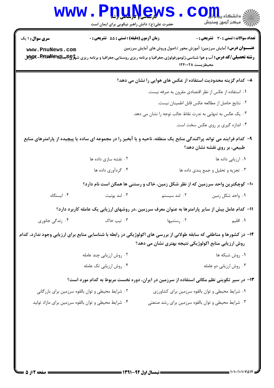|                                                                                                                       | <b>WWW.PDUAGW</b><br>حضرت علی(ع): دانش راهبر نیکویی برای ایمان است                                                   |                                                      | ر آمرڪز آزمون وسنڊش                                                                                                                                                                                                                                |  |  |
|-----------------------------------------------------------------------------------------------------------------------|----------------------------------------------------------------------------------------------------------------------|------------------------------------------------------|----------------------------------------------------------------------------------------------------------------------------------------------------------------------------------------------------------------------------------------------------|--|--|
| <b>سری سوال : ۱ یک</b>                                                                                                | زمان آزمون (دقیقه) : تستی : 55 تشریحی : 0                                                                            |                                                      | تعداد سوالات : تستى : 30 - تشريحي : 0                                                                                                                                                                                                              |  |  |
| www.PnuNews.com                                                                                                       |                                                                                                                      |                                                      | <b>عنــــوان درس:</b> آمایش سرزمین( آموزش محور )،اصول وروش های آمایش سرزمین<br><b>رشته تحصیلی/کد درس: آب و هوا شناسی،ژئومورفولوژی،جغرافیا و برنامه ریزی روستایی،جغرافیا و برنامه ریزی ش<del>هاِی (بجایه</del>ایه۷۶۷ ۰ APR)</b><br>محيطزيست ١٢۴٠٠٢٨ |  |  |
|                                                                                                                       |                                                                                                                      |                                                      | ۸– کدام گزینه محدودیت استفاده از عکس های هوایی را نشان می دهد؟                                                                                                                                                                                     |  |  |
|                                                                                                                       |                                                                                                                      |                                                      | ۰۱ استفاده از عکس از نظر اقتصادی مقرون به صرفه نیست.                                                                                                                                                                                               |  |  |
|                                                                                                                       | ٠٢ نتايج حاصل از مطالعه عكس قابل اطمينان نيست.                                                                       |                                                      |                                                                                                                                                                                                                                                    |  |  |
|                                                                                                                       | ۰۳ یک عکس به تنهایی به ندرت نقاط جالب توجه را نشان می دهد.                                                           |                                                      |                                                                                                                                                                                                                                                    |  |  |
|                                                                                                                       |                                                                                                                      |                                                      | ۰۴ اندازه گیری بر روی عکس سخت است.                                                                                                                                                                                                                 |  |  |
|                                                                                                                       | ۹– کدام فرایند می تواند پراکندگی منابع یک منطقه، ناحیه و یا آبخیز را در مجموعه ای ساده یا پیچیده از پارامترهای منابع |                                                      | طبیعی، بر روی نقشه نشان دهد؟                                                                                                                                                                                                                       |  |  |
|                                                                                                                       | ۰۲ نقشه سازی داده ها                                                                                                 |                                                      | ۰۱ ارزیابی داده ها                                                                                                                                                                                                                                 |  |  |
|                                                                                                                       | ۰۴ گردآوري داده ها                                                                                                   |                                                      | ۰۳ تجزیه و تحلیل و جمع بندی داده ها                                                                                                                                                                                                                |  |  |
|                                                                                                                       |                                                                                                                      |                                                      | ∙ا− کوچکترین واحد سرزمین که از نظر شکل زمین، خاک و رستنی ها همگن است نام دارد؟                                                                                                                                                                     |  |  |
| ۰۴ ایستگاه                                                                                                            | ۰۳ لند يونيت                                                                                                         | ۰۲ لند سیستم                                         | ٠١. واحد شكل زمين                                                                                                                                                                                                                                  |  |  |
|                                                                                                                       |                                                                                                                      |                                                      | 1۱– کدام عامل بیش از سایر پارامترها به عنوان معرف سرزمین ،در روشهای ارزیابی یک عامله کاربرد دارد؟                                                                                                                                                  |  |  |
| ۰۴ زندگی جانوری                                                                                                       | ۰۳ تیپ خاک                                                                                                           | ٠٢ رستنيها                                           | ٠١ اقليم                                                                                                                                                                                                                                           |  |  |
| ۱۲- در کشورها و مناطقی که سابقه طولانی از بررسی های اکولوژیکی در رابطه با شناسایی منابع برای ارزیابی وجود ندارد، کدام |                                                                                                                      | روش ارزیابی منابع اکولوژیکی نتیجه بهتری نشان می دهد؟ |                                                                                                                                                                                                                                                    |  |  |
|                                                                                                                       | ۰۲ روش ارزیابی چند عامله                                                                                             |                                                      | ۰۱ روش شبکه ها                                                                                                                                                                                                                                     |  |  |
|                                                                                                                       | ۰۴ روش ارزيابي تک عامله                                                                                              |                                                      | ۰۳ روش ارزیابی دو عامله                                                                                                                                                                                                                            |  |  |
|                                                                                                                       |                                                                                                                      |                                                      | ۱۳- در سیر تکوینی نظم مکانی استفاده از سرزمین در ایران، دوره نخست مربوط به کدام مورد است؟                                                                                                                                                          |  |  |
|                                                                                                                       | ۰۲ شرایط محیطی و توان بالقوه سرزمین برای بازرگانی                                                                    |                                                      | ٠١ شرايط محيطي و توان بالقوه سرزمين براي كشاورزي                                                                                                                                                                                                   |  |  |
| ۰۴ شرایط محیطی و توان بالقوه سرزمین برای مازاد تولید                                                                  |                                                                                                                      |                                                      | ۰۳ شرایط محیطی و توان بالقوه سرزمین برای رشد صنعتی                                                                                                                                                                                                 |  |  |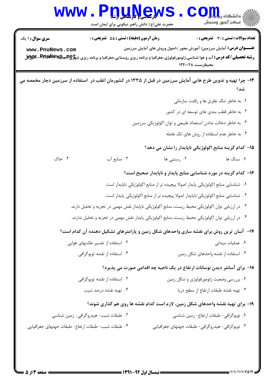|                                                                                                                                                 | <b>U.L.L.L.L.C.W</b><br>حضرت علی(ع): دانش راهبر نیکویی برای ایمان است |                                                                                                   | ≤ دانشگاه پ <b>یاج</b><br>رِ ۖ مرڪز آزمون وسنڊش |  |
|-------------------------------------------------------------------------------------------------------------------------------------------------|-----------------------------------------------------------------------|---------------------------------------------------------------------------------------------------|-------------------------------------------------|--|
| <b>سری سوال : ۱ یک</b><br>www.PnuNews.com                                                                                                       | زمان آزمون (دقيقه) : تستى : 55 تشريحى : 0                             | <b>عنـــوان درس:</b> آمایش سرزمین( آموزش محور )،اصول وروش های آمایش سرزمین                        | تعداد سوالات : تستي : 30 ٪ تشريحي : 0           |  |
| <b>رشته تحصیلی/کد درس: آب و هوا شناسی،ژئومورفولوژی،جغرافیا و برنامه ریزی روستایی،جغرافیا و برنامه ریزی ش<del>پلوچهجههای بهه</del>ییچی بههای</b> |                                                                       | محيطزيست ١٢٤٠٠٢٨                                                                                  |                                                 |  |
| ۱۴- چرا تهیه و تدوین طرح هایی آمایش سرزمین در قبل از ۱۳۳۵ در کشورمان اغلب در آستفاده از سرزمین دچار مخمصه می                                    |                                                                       |                                                                                                   | شد؟                                             |  |
|                                                                                                                                                 |                                                                       |                                                                                                   | ٠١. به خاطر تنگ نظري ها و رقابت سازماني         |  |
| ۰۲ به خاطر قطب بندی های توسعه ای در کشور                                                                                                        |                                                                       |                                                                                                   |                                                 |  |
|                                                                                                                                                 |                                                                       | ۰۳ به خاطر دخالت ندادن استعداد طبیعی و توان اکولوژیکی سرزمین                                      |                                                 |  |
|                                                                                                                                                 |                                                                       |                                                                                                   | ۰۴ به خاطر عدم استفاده از روش های تک عامله      |  |
|                                                                                                                                                 |                                                                       | ۱۵− کدام گزینه منابع اکولوژیکی ناپایدار را نشان می دهد؟                                           |                                                 |  |
| ۰۴ خاک                                                                                                                                          | ۰۳ منابع آب                                                           | ۰۲ رستنی ها                                                                                       | ۰۱ سنگ ها                                       |  |
|                                                                                                                                                 |                                                                       | ۱۶– کدام گزینه در مورد شناسایی منابع پایدار و ناپایدار صحیح است؟                                  |                                                 |  |
|                                                                                                                                                 |                                                                       | ۰۱ شناسایی منابع اکولوژیکی پایدار اصولا پیچیده تر از منابع اکولوژیکی ناپایدار است.                |                                                 |  |
|                                                                                                                                                 |                                                                       | ۲۰ شناسایی منابع اکولوژیکی ناپایدار اصولا پیچیده تر از منابع اکولوژیکی پایدار است.                |                                                 |  |
|                                                                                                                                                 |                                                                       | ۰۳ در ارزیابی توان اکولوژیکی محیط زیست، منابع اکولوژیکی ناپایدار نقش مهمی در تجزیه و تحلیل دارند. |                                                 |  |
|                                                                                                                                                 |                                                                       | ۰۴ در ارزیابی توان اکولوژیکی محیط زیست، منابع اکولوژیکی پایدار نقش مهمی در تجزیه و تحلیل ندارند.  |                                                 |  |
|                                                                                                                                                 |                                                                       | ۱۷– آسان ترین روش برای نقشه سازی واحدهای شکل زمین و پارامترهای تشکیل دهنده آن کدام است؟           |                                                 |  |
|                                                                                                                                                 | ۰۲ استفاده از تفسیر عکسهای هوایی                                      |                                                                                                   | ۰۱ عملیات میدان <sub>ی</sub>                    |  |
|                                                                                                                                                 | ۰۴ استفاده از نقشه توپوگرافی                                          |                                                                                                   | ۰۳ استفاده از نقشه واحدهای شکل زمین             |  |
|                                                                                                                                                 |                                                                       | 18– برای آسانتر دیدن نوسانات ارتفاع در یک ناحیه چه اقدامی صورت می پذیرد؟                          |                                                 |  |
|                                                                                                                                                 | ۰۲ استفاده از نقشه توپوگرافی                                          |                                                                                                   | ۰۱ برررسی وضعیت ژئومورفولوژی و شکل زمین         |  |
|                                                                                                                                                 | ۰۴ تهیه نقشه درصد شیب                                                 |                                                                                                   | ٠٣ تهيه نقشه طبقات ارتفاع از سطح دريا           |  |
|                                                                                                                                                 |                                                                       | ۱۹- برای تهیه نقشه واحدهای شکل زمین، لازم است کدام نقشه ها روی هم گذاری شوند؟                     |                                                 |  |
| ۰۲ طبقات شیب- هیدروگرافی- زمین شناسی                                                                                                            |                                                                       |                                                                                                   | ٠١. توپوگرافي- طبقات ارتفاع- زمين شناسي         |  |
| ۰۴ طبقات شيب- طبقات ارتفاع- طبقات جهتهاى جغرافيايي                                                                                              |                                                                       | ۰۳ توپوکرافی- هیدروگرافی- طبقات جهتهای جغرافیایی                                                  |                                                 |  |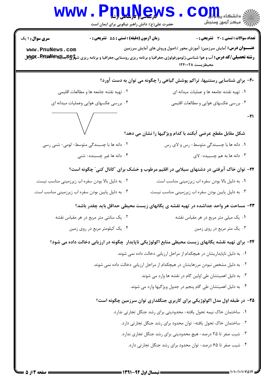